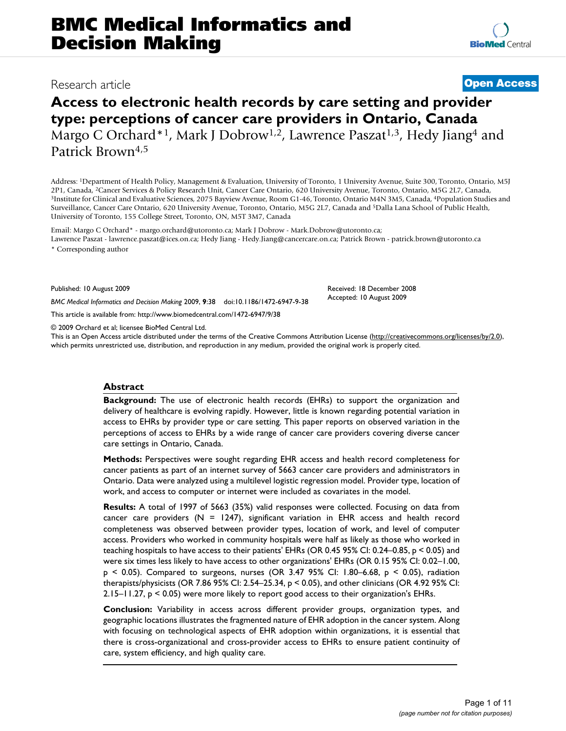Address: 1Department of Health Policy, Management & Evaluation, University of Toronto, 1 University Avenue, Suite 300, Toronto, Ontario, M5J 2P1, Canada, <sup>2</sup>Cancer Services & Policy Research Unit, Cancer Care Ontario, 620 University Avenue, Toronto, Ontario, M5G 2L7, Canada,<br><sup>3</sup>Institute for Clinical and Evaluative Sciences, 2075 Bayview Avenue, Room G1-46, Tor Surveillance, Cancer Care Ontario, 620 University Avenue, Toronto, Ontario, M5G 2L7, Canada and 5Dalla Lana School of Public Health, University of Toronto, 155 College Street, Toronto, ON, M5T 3M7, Canada

Email: Margo C Orchard\* - margo.orchard@utoronto.ca; Mark J Dobrow - Mark.Dobrow@utoronto.ca; Lawrence Paszat - lawrence.paszat@ices.on.ca; Hedy Jiang - Hedy.Jiang@cancercare.on.ca; Patrick Brown - patrick.brown@utoronto.ca

\* Corresponding author

Published: 10 August 2009

*BMC Medical Informatics and Decision Making* 2009, **9**:38 doi:10.1186/1472-6947-9-38

[This article is available from: http://www.biomedcentral.com/1472-6947/9/38](http://www.biomedcentral.com/1472-6947/9/38)

© 2009 Orchard et al; licensee BioMed Central Ltd.

This is an Open Access article distributed under the terms of the Creative Commons Attribution License [\(http://creativecommons.org/licenses/by/2.0\)](http://creativecommons.org/licenses/by/2.0), which permits unrestricted use, distribution, and reproduction in any medium, provided the original work is properly cited.

#### **Abstract**

**Background:** The use of electronic health records (EHRs) to support the organization and delivery of healthcare is evolving rapidly. However, little is known regarding potential variation in access to EHRs by provider type or care setting. This paper reports on observed variation in the perceptions of access to EHRs by a wide range of cancer care providers covering diverse cancer care settings in Ontario, Canada.

**Methods:** Perspectives were sought regarding EHR access and health record completeness for cancer patients as part of an internet survey of 5663 cancer care providers and administrators in Ontario. Data were analyzed using a multilevel logistic regression model. Provider type, location of work, and access to computer or internet were included as covariates in the model.

**Results:** A total of 1997 of 5663 (35%) valid responses were collected. Focusing on data from cancer care providers  $(N = 1247)$ , significant variation in EHR access and health record completeness was observed between provider types, location of work, and level of computer access. Providers who worked in community hospitals were half as likely as those who worked in teaching hospitals to have access to their patients' EHRs (OR 0.45 95% CI: 0.24–0.85, p < 0.05) and were six times less likely to have access to other organizations' EHRs (OR 0.15 95% CI: 0.02–1.00,  $p \le 0.05$ ). Compared to surgeons, nurses (OR 3.47 95% CI: 1.80–6.68,  $p \le 0.05$ ), radiation therapists/physicists (OR 7.86 95% CI: 2.54–25.34, p < 0.05), and other clinicians (OR 4.92 95% CI: 2.15–11.27, p < 0.05) were more likely to report good access to their organization's EHRs.

**Conclusion:** Variability in access across different provider groups, organization types, and geographic locations illustrates the fragmented nature of EHR adoption in the cancer system. Along with focusing on technological aspects of EHR adoption within organizations, it is essential that there is cross-organizational and cross-provider access to EHRs to ensure patient continuity of care, system efficiency, and high quality care.

Received: 18 December 2008 Accepted: 10 August 2009

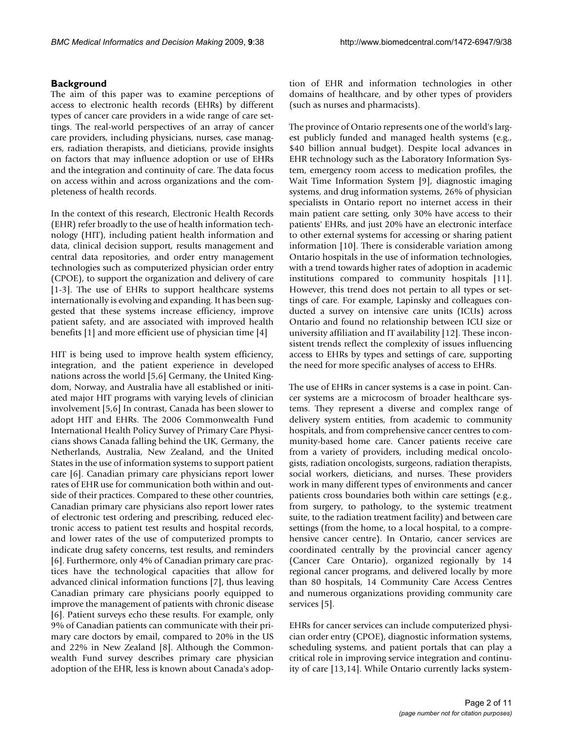## **Background**

The aim of this paper was to examine perceptions of access to electronic health records (EHRs) by different types of cancer care providers in a wide range of care settings. The real-world perspectives of an array of cancer care providers, including physicians, nurses, case managers, radiation therapists, and dieticians, provide insights on factors that may influence adoption or use of EHRs and the integration and continuity of care. The data focus on access within and across organizations and the completeness of health records.

In the context of this research, Electronic Health Records (EHR) refer broadly to the use of health information technology (HIT), including patient health information and data, clinical decision support, results management and central data repositories, and order entry management technologies such as computerized physician order entry (CPOE), to support the organization and delivery of care [1-3]. The use of EHRs to support healthcare systems internationally is evolving and expanding. It has been suggested that these systems increase efficiency, improve patient safety, and are associated with improved health benefits [1] and more efficient use of physician time [4]

HIT is being used to improve health system efficiency, integration, and the patient experience in developed nations across the world [5,6] Germany, the United Kingdom, Norway, and Australia have all established or initiated major HIT programs with varying levels of clinician involvement [5,6] In contrast, Canada has been slower to adopt HIT and EHRs. The 2006 Commonwealth Fund International Health Policy Survey of Primary Care Physicians shows Canada falling behind the UK, Germany, the Netherlands, Australia, New Zealand, and the United States in the use of information systems to support patient care [6]. Canadian primary care physicians report lower rates of EHR use for communication both within and outside of their practices. Compared to these other countries, Canadian primary care physicians also report lower rates of electronic test ordering and prescribing, reduced electronic access to patient test results and hospital records, and lower rates of the use of computerized prompts to indicate drug safety concerns, test results, and reminders [6]. Furthermore, only 4% of Canadian primary care practices have the technological capacities that allow for advanced clinical information functions [7], thus leaving Canadian primary care physicians poorly equipped to improve the management of patients with chronic disease [6]. Patient surveys echo these results. For example, only 9% of Canadian patients can communicate with their primary care doctors by email, compared to 20% in the US and 22% in New Zealand [8]. Although the Commonwealth Fund survey describes primary care physician adoption of the EHR, less is known about Canada's adoption of EHR and information technologies in other domains of healthcare, and by other types of providers (such as nurses and pharmacists).

The province of Ontario represents one of the world's largest publicly funded and managed health systems (e.g., \$40 billion annual budget). Despite local advances in EHR technology such as the Laboratory Information System, emergency room access to medication profiles, the Wait Time Information System [9], diagnostic imaging systems, and drug information systems, 26% of physician specialists in Ontario report no internet access in their main patient care setting, only 30% have access to their patients' EHRs, and just 20% have an electronic interface to other external systems for accessing or sharing patient information [10]. There is considerable variation among Ontario hospitals in the use of information technologies, with a trend towards higher rates of adoption in academic institutions compared to community hospitals [11]. However, this trend does not pertain to all types or settings of care. For example, Lapinsky and colleagues conducted a survey on intensive care units (ICUs) across Ontario and found no relationship between ICU size or university affiliation and IT availability [12]. These inconsistent trends reflect the complexity of issues influencing access to EHRs by types and settings of care, supporting the need for more specific analyses of access to EHRs.

The use of EHRs in cancer systems is a case in point. Cancer systems are a microcosm of broader healthcare systems. They represent a diverse and complex range of delivery system entities, from academic to community hospitals, and from comprehensive cancer centres to community-based home care. Cancer patients receive care from a variety of providers, including medical oncologists, radiation oncologists, surgeons, radiation therapists, social workers, dieticians, and nurses. These providers work in many different types of environments and cancer patients cross boundaries both within care settings (e.g., from surgery, to pathology, to the systemic treatment suite, to the radiation treatment facility) and between care settings (from the home, to a local hospital, to a comprehensive cancer centre). In Ontario, cancer services are coordinated centrally by the provincial cancer agency (Cancer Care Ontario), organized regionally by 14 regional cancer programs, and delivered locally by more than 80 hospitals, 14 Community Care Access Centres and numerous organizations providing community care services [5].

EHRs for cancer services can include computerized physician order entry (CPOE), diagnostic information systems, scheduling systems, and patient portals that can play a critical role in improving service integration and continuity of care [13,14]. While Ontario currently lacks system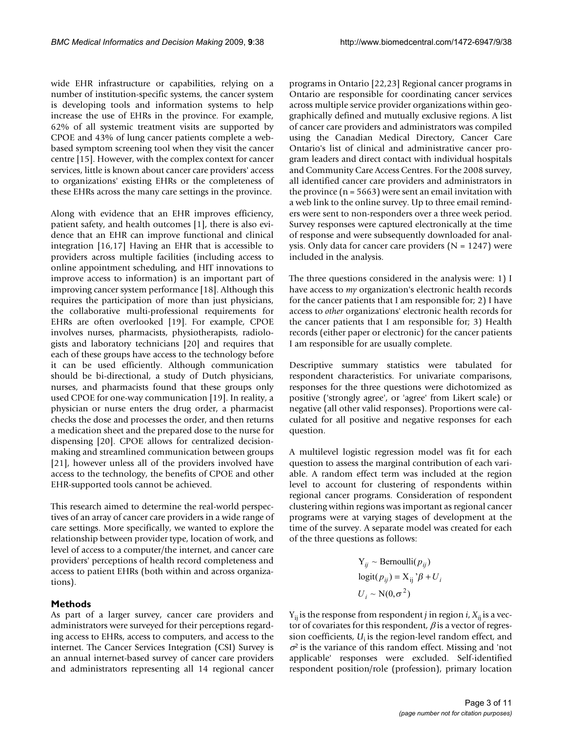wide EHR infrastructure or capabilities, relying on a number of institution-specific systems, the cancer system is developing tools and information systems to help increase the use of EHRs in the province. For example, 62% of all systemic treatment visits are supported by CPOE and 43% of lung cancer patients complete a webbased symptom screening tool when they visit the cancer centre [15]. However, with the complex context for cancer services, little is known about cancer care providers' access to organizations' existing EHRs or the completeness of these EHRs across the many care settings in the province.

Along with evidence that an EHR improves efficiency, patient safety, and health outcomes [1], there is also evidence that an EHR can improve functional and clinical integration [16,17] Having an EHR that is accessible to providers across multiple facilities (including access to online appointment scheduling, and HIT innovations to improve access to information) is an important part of improving cancer system performance [18]. Although this requires the participation of more than just physicians, the collaborative multi-professional requirements for EHRs are often overlooked [19]. For example, CPOE involves nurses, pharmacists, physiotherapists, radiologists and laboratory technicians [20] and requires that each of these groups have access to the technology before it can be used efficiently. Although communication should be bi-directional, a study of Dutch physicians, nurses, and pharmacists found that these groups only used CPOE for one-way communication [19]. In reality, a physician or nurse enters the drug order, a pharmacist checks the dose and processes the order, and then returns a medication sheet and the prepared dose to the nurse for dispensing [20]. CPOE allows for centralized decisionmaking and streamlined communication between groups [21], however unless all of the providers involved have access to the technology, the benefits of CPOE and other EHR-supported tools cannot be achieved.

This research aimed to determine the real-world perspectives of an array of cancer care providers in a wide range of care settings. More specifically, we wanted to explore the relationship between provider type, location of work, and level of access to a computer/the internet, and cancer care providers' perceptions of health record completeness and access to patient EHRs (both within and across organizations).

#### **Methods**

As part of a larger survey, cancer care providers and administrators were surveyed for their perceptions regarding access to EHRs, access to computers, and access to the internet. The Cancer Services Integration (CSI) Survey is an annual internet-based survey of cancer care providers and administrators representing all 14 regional cancer programs in Ontario [22,23] Regional cancer programs in Ontario are responsible for coordinating cancer services across multiple service provider organizations within geographically defined and mutually exclusive regions. A list of cancer care providers and administrators was compiled using the Canadian Medical Directory, Cancer Care Ontario's list of clinical and administrative cancer program leaders and direct contact with individual hospitals and Community Care Access Centres. For the 2008 survey, all identified cancer care providers and administrators in the province  $(n = 5663)$  were sent an email invitation with a web link to the online survey. Up to three email reminders were sent to non-responders over a three week period. Survey responses were captured electronically at the time of response and were subsequently downloaded for analysis. Only data for cancer care providers  $(N = 1247)$  were included in the analysis.

The three questions considered in the analysis were: 1) I have access to *my* organization's electronic health records for the cancer patients that I am responsible for; 2) I have access to *other* organizations' electronic health records for the cancer patients that I am responsible for; 3) Health records (either paper or electronic) for the cancer patients I am responsible for are usually complete.

Descriptive summary statistics were tabulated for respondent characteristics. For univariate comparisons, responses for the three questions were dichotomized as positive ('strongly agree', or 'agree' from Likert scale) or negative (all other valid responses). Proportions were calculated for all positive and negative responses for each question.

A multilevel logistic regression model was fit for each question to assess the marginal contribution of each variable. A random effect term was included at the region level to account for clustering of respondents within regional cancer programs. Consideration of respondent clustering within regions was important as regional cancer programs were at varying stages of development at the time of the survey. A separate model was created for each of the three questions as follows:

$$
Y_{ij} \sim \text{Bernoulli}(p_{ij})
$$
  
logit $(p_{ij}) = X_{ij}' \beta + U_i$   
 $U_i \sim N(0, \sigma^2)$ 

 $Y_{ii}$  is the response from respondent *j* in region *i*,  $X_{ii}$  is a vector of covariates for this respondent,  $\beta$  is a vector of regression coefficients,  $U_i$  is the region-level random effect, and  $\sigma^2$  is the variance of this random effect. Missing and 'not applicable' responses were excluded. Self-identified respondent position/role (profession), primary location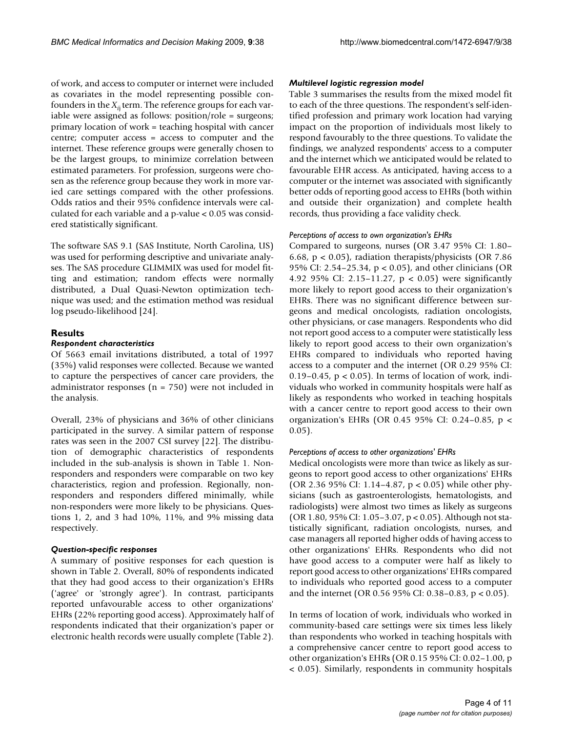of work, and access to computer or internet were included as covariates in the model representing possible confounders in the  $X_{ii}$  term. The reference groups for each variable were assigned as follows: position/role = surgeons; primary location of work = teaching hospital with cancer centre; computer access = access to computer and the internet. These reference groups were generally chosen to be the largest groups, to minimize correlation between estimated parameters. For profession, surgeons were chosen as the reference group because they work in more varied care settings compared with the other professions. Odds ratios and their 95% confidence intervals were calculated for each variable and a p-value < 0.05 was considered statistically significant.

The software SAS 9.1 (SAS Institute, North Carolina, US) was used for performing descriptive and univariate analyses. The SAS procedure GLIMMIX was used for model fitting and estimation; random effects were normally distributed, a Dual Quasi-Newton optimization technique was used; and the estimation method was residual log pseudo-likelihood [24].

# **Results**

# *Respondent characteristics*

Of 5663 email invitations distributed, a total of 1997 (35%) valid responses were collected. Because we wanted to capture the perspectives of cancer care providers, the administrator responses ( $n = 750$ ) were not included in the analysis.

Overall, 23% of physicians and 36% of other clinicians participated in the survey. A similar pattern of response rates was seen in the 2007 CSI survey [22]. The distribution of demographic characteristics of respondents included in the sub-analysis is shown in Table 1. Nonresponders and responders were comparable on two key characteristics, region and profession. Regionally, nonresponders and responders differed minimally, while non-responders were more likely to be physicians. Questions 1, 2, and 3 had 10%, 11%, and 9% missing data respectively.

# *Question-specific responses*

A summary of positive responses for each question is shown in Table 2. Overall, 80% of respondents indicated that they had good access to their organization's EHRs ('agree' or 'strongly agree'). In contrast, participants reported unfavourable access to other organizations' EHRs (22% reporting good access). Approximately half of respondents indicated that their organization's paper or electronic health records were usually complete (Table 2).

# *Multilevel logistic regression model*

Table 3 summarises the results from the mixed model fit to each of the three questions. The respondent's self-identified profession and primary work location had varying impact on the proportion of individuals most likely to respond favourably to the three questions. To validate the findings, we analyzed respondents' access to a computer and the internet which we anticipated would be related to favourable EHR access. As anticipated, having access to a computer or the internet was associated with significantly better odds of reporting good access to EHRs (both within and outside their organization) and complete health records, thus providing a face validity check.

# *Perceptions of access to own organization's EHRs*

Compared to surgeons, nurses (OR 3.47 95% CI: 1.80– 6.68, p < 0.05), radiation therapists/physicists (OR 7.86 95% CI: 2.54–25.34, p < 0.05), and other clinicians (OR 4.92 95% CI: 2.15–11.27, p < 0.05) were significantly more likely to report good access to their organization's EHRs. There was no significant difference between surgeons and medical oncologists, radiation oncologists, other physicians, or case managers. Respondents who did not report good access to a computer were statistically less likely to report good access to their own organization's EHRs compared to individuals who reported having access to a computer and the internet (OR 0.29 95% CI: 0.19–0.45,  $p < 0.05$ ). In terms of location of work, individuals who worked in community hospitals were half as likely as respondents who worked in teaching hospitals with a cancer centre to report good access to their own organization's EHRs (OR 0.45 95% CI: 0.24–0.85, p < 0.05).

# *Perceptions of access to other organizations' EHRs*

Medical oncologists were more than twice as likely as surgeons to report good access to other organizations' EHRs (OR 2.36 95% CI: 1.14–4.87, p < 0.05) while other physicians (such as gastroenterologists, hematologists, and radiologists) were almost two times as likely as surgeons (OR 1.80, 95% CI: 1.05–3.07, p < 0.05). Although not statistically significant, radiation oncologists, nurses, and case managers all reported higher odds of having access to other organizations' EHRs. Respondents who did not have good access to a computer were half as likely to report good access to other organizations' EHRs compared to individuals who reported good access to a computer and the internet (OR 0.56 95% CI: 0.38–0.83, p < 0.05).

In terms of location of work, individuals who worked in community-based care settings were six times less likely than respondents who worked in teaching hospitals with a comprehensive cancer centre to report good access to other organization's EHRs (OR 0.15 95% CI: 0.02–1.00, p < 0.05). Similarly, respondents in community hospitals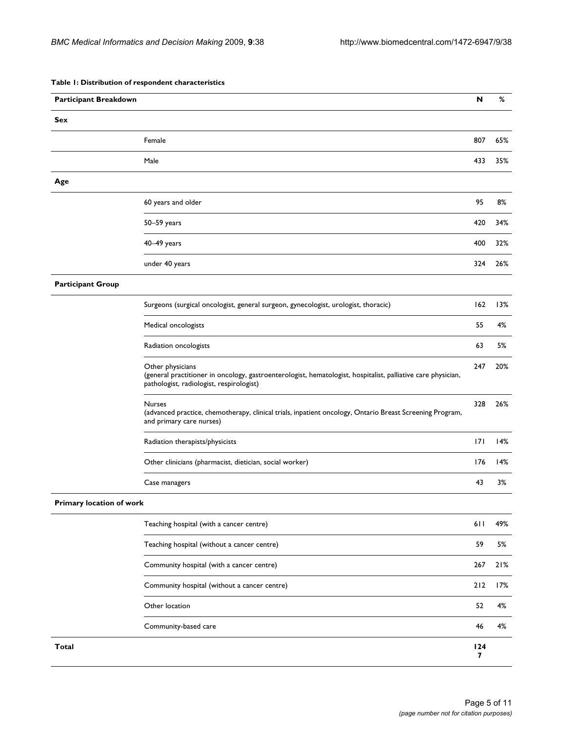| <b>Participant Breakdown</b> |                                                                                                                                                                              | N                              | %   |
|------------------------------|------------------------------------------------------------------------------------------------------------------------------------------------------------------------------|--------------------------------|-----|
| Sex                          |                                                                                                                                                                              |                                |     |
|                              | Female                                                                                                                                                                       | 807                            | 65% |
|                              | Male                                                                                                                                                                         | 433                            | 35% |
| Age                          |                                                                                                                                                                              |                                |     |
|                              | 60 years and older                                                                                                                                                           | 95                             | 8%  |
|                              | $50 - 59$ years                                                                                                                                                              | 420                            | 34% |
|                              | $40-49$ years                                                                                                                                                                | 400                            | 32% |
|                              | under 40 years                                                                                                                                                               | 324                            | 26% |
| <b>Participant Group</b>     |                                                                                                                                                                              |                                |     |
|                              | Surgeons (surgical oncologist, general surgeon, gynecologist, urologist, thoracic)                                                                                           | 162                            | 13% |
|                              | Medical oncologists                                                                                                                                                          | 55                             | 4%  |
|                              | Radiation oncologists                                                                                                                                                        | 63                             | 5%  |
|                              | Other physicians<br>(general practitioner in oncology, gastroenterologist, hematologist, hospitalist, palliative care physician,<br>pathologist, radiologist, respirologist) | 247                            | 20% |
|                              | <b>Nurses</b><br>(advanced practice, chemotherapy, clinical trials, inpatient oncology, Ontario Breast Screening Program,<br>and primary care nurses)                        | 328                            | 26% |
|                              | Radiation therapists/physicists                                                                                                                                              | 171                            | 14% |
|                              | Other clinicians (pharmacist, dietician, social worker)                                                                                                                      | 176                            | 14% |
|                              | Case managers                                                                                                                                                                | 43                             | 3%  |
| Primary location of work     |                                                                                                                                                                              |                                |     |
|                              | Teaching hospital (with a cancer centre)                                                                                                                                     | 611                            | 49% |
|                              | Teaching hospital (without a cancer centre)                                                                                                                                  | 59                             | 5%  |
|                              | Community hospital (with a cancer centre)                                                                                                                                    | 267                            | 21% |
|                              | Community hospital (without a cancer centre)                                                                                                                                 | 212                            | 17% |
|                              | Other location                                                                                                                                                               | 52                             | 4%  |
|                              | Community-based care                                                                                                                                                         | 46                             | 4%  |
| <b>Total</b>                 |                                                                                                                                                                              | 124<br>$\overline{\mathbf{z}}$ |     |

### **Table 1: Distribution of respondent characteristics**

Page 5 of 11 *(page number not for citation purposes)*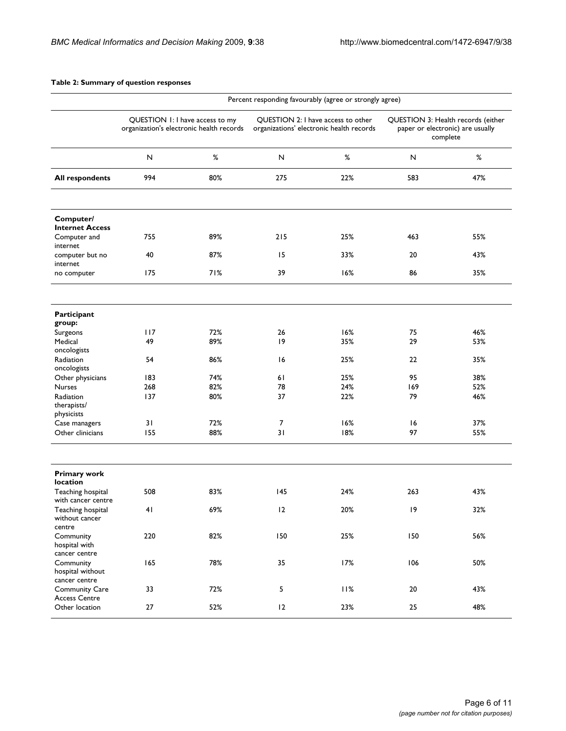### **Table 2: Summary of question responses**

|                                                | Percent responding favourably (agree or strongly agree)                     |     |                                                                                |      |                                                                                    |     |  |
|------------------------------------------------|-----------------------------------------------------------------------------|-----|--------------------------------------------------------------------------------|------|------------------------------------------------------------------------------------|-----|--|
|                                                | QUESTION 1: I have access to my<br>organization's electronic health records |     | QUESTION 2: I have access to other<br>organizations' electronic health records |      | QUESTION 3: Health records (either<br>paper or electronic) are usually<br>complete |     |  |
|                                                | N                                                                           | %   | $\mathsf N$                                                                    | $\%$ | N                                                                                  | %   |  |
| <b>All respondents</b>                         | 994                                                                         | 80% | 275                                                                            | 22%  | 583                                                                                | 47% |  |
| Computer/<br><b>Internet Access</b>            |                                                                             |     |                                                                                |      |                                                                                    |     |  |
| Computer and<br>internet                       | 755                                                                         | 89% | 215                                                                            | 25%  | 463                                                                                | 55% |  |
| computer but no<br>internet                    | 40                                                                          | 87% | 15                                                                             | 33%  | 20                                                                                 | 43% |  |
| no computer                                    | 175                                                                         | 71% | 39                                                                             | 16%  | 86                                                                                 | 35% |  |
| Participant<br>group:                          |                                                                             |     |                                                                                |      |                                                                                    |     |  |
| Surgeons                                       | 117                                                                         | 72% | 26                                                                             | 16%  | 75                                                                                 | 46% |  |
| Medical<br>oncologists                         | 49                                                                          | 89% | $ 9\rangle$                                                                    | 35%  | 29                                                                                 | 53% |  |
| Radiation<br>oncologists                       | 54                                                                          | 86% | 16                                                                             | 25%  | 22                                                                                 | 35% |  |
| Other physicians                               | 183                                                                         | 74% | 61                                                                             | 25%  | 95                                                                                 | 38% |  |
| <b>Nurses</b>                                  | 268                                                                         | 82% | 78                                                                             | 24%  | 169                                                                                | 52% |  |
| Radiation<br>therapists/<br>physicists         | 137                                                                         | 80% | 37                                                                             | 22%  | 79                                                                                 | 46% |  |
| Case managers                                  | 31                                                                          | 72% | 7                                                                              | 16%  | 16                                                                                 | 37% |  |
| Other clinicians                               | 155                                                                         | 88% | 31                                                                             | 18%  | 97                                                                                 | 55% |  |
|                                                |                                                                             |     |                                                                                |      |                                                                                    |     |  |
| <b>Primary work</b><br><b>location</b>         |                                                                             |     |                                                                                |      |                                                                                    |     |  |
| Teaching hospital<br>with cancer centre        | 508                                                                         | 83% | 145                                                                            | 24%  | 263                                                                                | 43% |  |
| Teaching hospital<br>without cancer<br>centre  | 41                                                                          | 69% | $\overline{12}$                                                                | 20%  | 19                                                                                 | 32% |  |
| Community<br>hospital with<br>cancer centre    | 220                                                                         | 82% | 150                                                                            | 25%  | 150                                                                                | 56% |  |
| Community<br>hospital without<br>cancer centre | 165                                                                         | 78% | 35                                                                             | 17%  | 106                                                                                | 50% |  |
| Community Care<br><b>Access Centre</b>         | 33                                                                          | 72% | $\overline{\mathbf{5}}$                                                        | 11%  | $20\,$                                                                             | 43% |  |
| Other location                                 | $27\,$                                                                      | 52% | $ 2\rangle$                                                                    | 23%  | 25                                                                                 | 48% |  |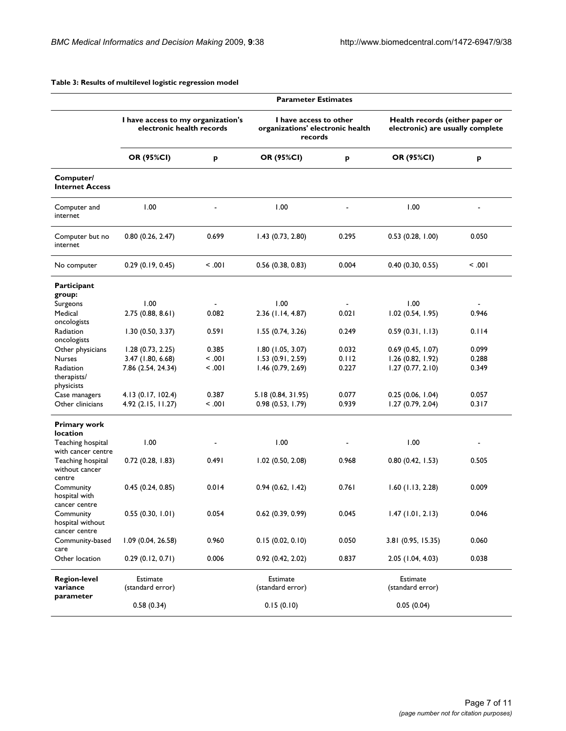### **Table 3: Results of multilevel logistic regression model**

|                                                                                    | <b>Parameter Estimates</b>                                                        |                                    |                                                                                    |                                   |                                                                              |                                  |  |
|------------------------------------------------------------------------------------|-----------------------------------------------------------------------------------|------------------------------------|------------------------------------------------------------------------------------|-----------------------------------|------------------------------------------------------------------------------|----------------------------------|--|
|                                                                                    | I have access to my organization's<br>electronic health records                   |                                    | I have access to other<br>organizations' electronic health<br>records              |                                   | Health records (either paper or<br>electronic) are usually complete          |                                  |  |
|                                                                                    | OR (95%CI)                                                                        | P                                  | OR (95%CI)                                                                         | p                                 | OR (95%CI)                                                                   | P                                |  |
| Computer/<br><b>Internet Access</b>                                                |                                                                                   |                                    |                                                                                    |                                   |                                                                              |                                  |  |
| Computer and<br>internet                                                           | 1.00                                                                              |                                    | 1.00                                                                               |                                   | 1.00                                                                         |                                  |  |
| Computer but no<br>internet                                                        | $0.80$ $(0.26, 2.47)$                                                             | 0.699                              | $1.43$ (0.73, 2.80)                                                                | 0.295                             | 0.53(0.28, 1.00)                                                             | 0.050                            |  |
| No computer                                                                        | 0.29(0.19, 0.45)                                                                  | 100.                               | $0.56$ (0.38, 0.83)                                                                | 0.004                             | 0.40(0.30, 0.55)                                                             | $-0.01$                          |  |
| Participant<br>group:<br>Surgeons<br>Medical<br>oncologists                        | 1.00<br>2.75(0.88, 8.61)                                                          | 0.082                              | 1.00<br>2.36 (1.14, 4.87)                                                          | $\overline{\phantom{a}}$<br>0.021 | 1.00<br>$1.02$ (0.54, 1.95)                                                  | $\blacksquare$<br>0.946          |  |
| Radiation<br>oncologists<br>Other physicians<br>Nurses<br>Radiation<br>therapists/ | 1.30(0.50, 3.37)<br>1.28(0.73, 2.25)<br>$3.47$ (1.80, 6.68)<br>7.86 (2.54, 24.34) | 0.591<br>0.385<br>< 0.01<br>< 0.01 | 1.55(0.74, 3.26)<br>$1.80$ (1.05, 3.07)<br>1.53(0.91, 2.59)<br>$1.46$ (0.79, 2.69) | 0.249<br>0.032<br>0.112<br>0.227  | 0.59(0.31, 1.13)<br>0.69(0.45, 1.07)<br>1.26(0.82, 1.92)<br>1.27(0.77, 2.10) | 0.114<br>0.099<br>0.288<br>0.349 |  |
| physicists<br>Case managers<br>Other clinicians                                    | 4.13 (0.17, 102.4)<br>4.92 (2.15, 11.27)                                          | 0.387<br>< 0.01                    | 5.18 (0.84, 31.95)<br>0.98(0.53, 1.79)                                             | 0.077<br>0.939                    | 0.25(0.06, 1.04)<br>1.27 (0.79, 2.04)                                        | 0.057<br>0.317                   |  |
| <b>Primary work</b><br>location                                                    | 1.00                                                                              |                                    | 1.00                                                                               |                                   | 1.00                                                                         |                                  |  |
| Teaching hospital<br>with cancer centre<br>Teaching hospital<br>without cancer     | $0.72$ (0.28, 1.83)                                                               | 0.491                              | $1.02$ (0.50, 2.08)                                                                | 0.968                             | 0.80(0.42, 1.53)                                                             | 0.505                            |  |
| centre<br>Community<br>hospital with<br>cancer centre                              | 0.45(0.24, 0.85)                                                                  | 0.014                              | 0.94(0.62, 1.42)                                                                   | 0.761                             | $1.60$ (1.13, 2.28)                                                          | 0.009                            |  |
| Community<br>hospital without<br>cancer centre                                     | 0.55(0.30, 1.01)                                                                  | 0.054                              | $0.62$ (0.39, 0.99)                                                                | 0.045                             | $1.47$ (1.01, 2.13)                                                          | 0.046                            |  |
| Community-based<br>care                                                            | $1.09$ (0.04, 26.58)                                                              | 0.960                              | 0.15(0.02, 0.10)                                                                   | 0.050                             | 3.81 (0.95, 15.35)                                                           | 0.060                            |  |
| Other location                                                                     | 0.29(0.12, 0.71)                                                                  | 0.006                              | 0.92 (0.42, 2.02)                                                                  | 0.837                             | $2.05$ (1.04, 4.03)                                                          | 0.038                            |  |
| <b>Region-level</b><br>variance<br>parameter                                       | <b>Estimate</b><br>(standard error)                                               |                                    | <b>Estimate</b><br>(standard error)                                                |                                   | <b>Estimate</b><br>(standard error)                                          |                                  |  |
|                                                                                    | 0.58(0.34)                                                                        |                                    | 0.15(0.10)                                                                         |                                   | 0.05(0.04)                                                                   |                                  |  |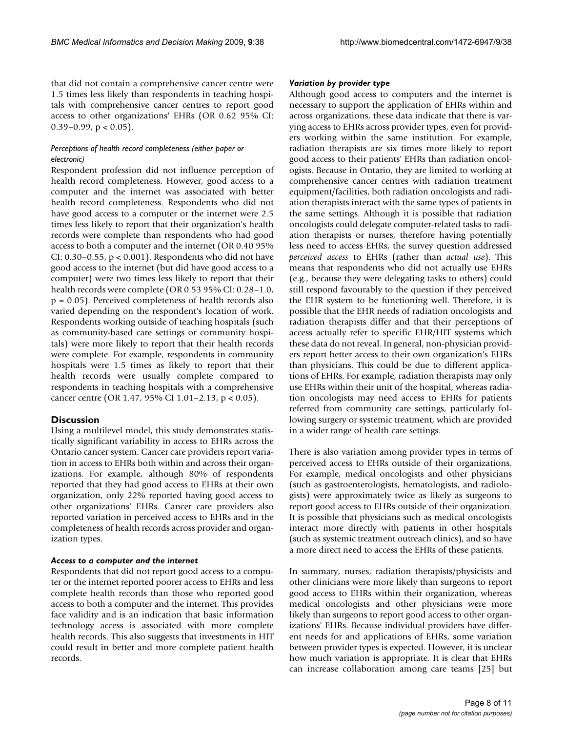that did not contain a comprehensive cancer centre were 1.5 times less likely than respondents in teaching hospitals with comprehensive cancer centres to report good access to other organizations' EHRs (OR 0.62 95% CI: 0.39–0.99,  $p < 0.05$ ).

### *Perceptions of health record completeness (either paper or electronic)*

Respondent profession did not influence perception of health record completeness. However, good access to a computer and the internet was associated with better health record completeness. Respondents who did not have good access to a computer or the internet were 2.5 times less likely to report that their organization's health records were complete than respondents who had good access to both a computer and the internet (OR 0.40 95% CI:  $0.30-0.55$ ,  $p < 0.001$ ). Respondents who did not have good access to the internet (but did have good access to a computer) were two times less likely to report that their health records were complete (OR 0.53 95% CI: 0.28–1.0, p = 0.05). Perceived completeness of health records also varied depending on the respondent's location of work. Respondents working outside of teaching hospitals (such as community-based care settings or community hospitals) were more likely to report that their health records were complete. For example, respondents in community hospitals were 1.5 times as likely to report that their health records were usually complete compared to respondents in teaching hospitals with a comprehensive cancer centre (OR 1.47, 95% CI 1.01–2.13, p < 0.05).

## **Discussion**

Using a multilevel model, this study demonstrates statistically significant variability in access to EHRs across the Ontario cancer system. Cancer care providers report variation in access to EHRs both within and across their organizations. For example, although 80% of respondents reported that they had good access to EHRs at their own organization, only 22% reported having good access to other organizations' EHRs. Cancer care providers also reported variation in perceived access to EHRs and in the completeness of health records across provider and organization types.

#### *Access to a computer and the internet*

Respondents that did not report good access to a computer or the internet reported poorer access to EHRs and less complete health records than those who reported good access to both a computer and the internet. This provides face validity and is an indication that basic information technology access is associated with more complete health records. This also suggests that investments in HIT could result in better and more complete patient health records.

#### *Variation by provider type*

Although good access to computers and the internet is necessary to support the application of EHRs within and across organizations, these data indicate that there is varying access to EHRs across provider types, even for providers working within the same institution. For example, radiation therapists are six times more likely to report good access to their patients' EHRs than radiation oncologists. Because in Ontario, they are limited to working at comprehensive cancer centres with radiation treatment equipment/facilities, both radiation oncologists and radiation therapists interact with the same types of patients in the same settings. Although it is possible that radiation oncologists could delegate computer-related tasks to radiation therapists or nurses, therefore having potentially less need to access EHRs, the survey question addressed *perceived access* to EHRs (rather than *actual use*). This means that respondents who did not actually use EHRs (e.g., because they were delegating tasks to others) could still respond favourably to the question if they perceived the EHR system to be functioning well. Therefore, it is possible that the EHR needs of radiation oncologists and radiation therapists differ and that their perceptions of access actually refer to specific EHR/HIT systems which these data do not reveal. In general, non-physician providers report better access to their own organization's EHRs than physicians. This could be due to different applications of EHRs. For example, radiation therapists may only use EHRs within their unit of the hospital, whereas radiation oncologists may need access to EHRs for patients referred from community care settings, particularly following surgery or systemic treatment, which are provided in a wider range of health care settings.

There is also variation among provider types in terms of perceived access to EHRs outside of their organizations. For example, medical oncologists and other physicians (such as gastroenterologists, hematologists, and radiologists) were approximately twice as likely as surgeons to report good access to EHRs outside of their organization. It is possible that physicians such as medical oncologists interact more directly with patients in other hospitals (such as systemic treatment outreach clinics), and so have a more direct need to access the EHRs of these patients.

In summary, nurses, radiation therapists/physicists and other clinicians were more likely than surgeons to report good access to EHRs within their organization, whereas medical oncologists and other physicians were more likely than surgeons to report good access to other organizations' EHRs. Because individual providers have different needs for and applications of EHRs, some variation between provider types is expected. However, it is unclear how much variation is appropriate. It is clear that EHRs can increase collaboration among care teams [25] but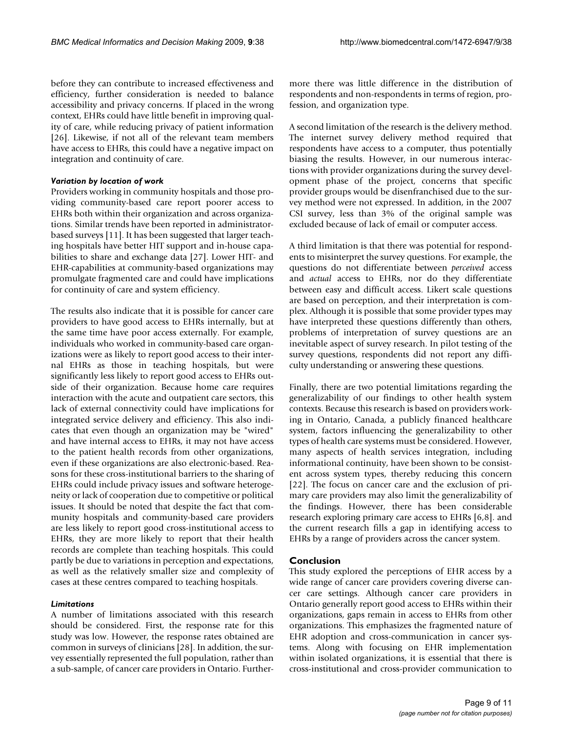before they can contribute to increased effectiveness and efficiency, further consideration is needed to balance accessibility and privacy concerns. If placed in the wrong context, EHRs could have little benefit in improving quality of care, while reducing privacy of patient information [26]. Likewise, if not all of the relevant team members have access to EHRs, this could have a negative impact on integration and continuity of care.

## *Variation by location of work*

Providers working in community hospitals and those providing community-based care report poorer access to EHRs both within their organization and across organizations. Similar trends have been reported in administratorbased surveys [11]. It has been suggested that larger teaching hospitals have better HIT support and in-house capabilities to share and exchange data [27]. Lower HIT- and EHR-capabilities at community-based organizations may promulgate fragmented care and could have implications for continuity of care and system efficiency.

The results also indicate that it is possible for cancer care providers to have good access to EHRs internally, but at the same time have poor access externally. For example, individuals who worked in community-based care organizations were as likely to report good access to their internal EHRs as those in teaching hospitals, but were significantly less likely to report good access to EHRs outside of their organization. Because home care requires interaction with the acute and outpatient care sectors, this lack of external connectivity could have implications for integrated service delivery and efficiency. This also indicates that even though an organization may be "wired" and have internal access to EHRs, it may not have access to the patient health records from other organizations, even if these organizations are also electronic-based. Reasons for these cross-institutional barriers to the sharing of EHRs could include privacy issues and software heterogeneity or lack of cooperation due to competitive or political issues. It should be noted that despite the fact that community hospitals and community-based care providers are less likely to report good cross-institutional access to EHRs, they are more likely to report that their health records are complete than teaching hospitals. This could partly be due to variations in perception and expectations, as well as the relatively smaller size and complexity of cases at these centres compared to teaching hospitals.

## *Limitations*

A number of limitations associated with this research should be considered. First, the response rate for this study was low. However, the response rates obtained are common in surveys of clinicians [28]. In addition, the survey essentially represented the full population, rather than a sub-sample, of cancer care providers in Ontario. Furthermore there was little difference in the distribution of respondents and non-respondents in terms of region, profession, and organization type.

A second limitation of the research is the delivery method. The internet survey delivery method required that respondents have access to a computer, thus potentially biasing the results. However, in our numerous interactions with provider organizations during the survey development phase of the project, concerns that specific provider groups would be disenfranchised due to the survey method were not expressed. In addition, in the 2007 CSI survey, less than 3% of the original sample was excluded because of lack of email or computer access.

A third limitation is that there was potential for respondents to misinterpret the survey questions. For example, the questions do not differentiate between *perceived* access and *actual* access to EHRs, nor do they differentiate between easy and difficult access. Likert scale questions are based on perception, and their interpretation is complex. Although it is possible that some provider types may have interpreted these questions differently than others, problems of interpretation of survey questions are an inevitable aspect of survey research. In pilot testing of the survey questions, respondents did not report any difficulty understanding or answering these questions.

Finally, there are two potential limitations regarding the generalizability of our findings to other health system contexts. Because this research is based on providers working in Ontario, Canada, a publicly financed healthcare system, factors influencing the generalizability to other types of health care systems must be considered. However, many aspects of health services integration, including informational continuity, have been shown to be consistent across system types, thereby reducing this concern [22]. The focus on cancer care and the exclusion of primary care providers may also limit the generalizability of the findings. However, there has been considerable research exploring primary care access to EHRs [6,8]. and the current research fills a gap in identifying access to EHRs by a range of providers across the cancer system.

## **Conclusion**

This study explored the perceptions of EHR access by a wide range of cancer care providers covering diverse cancer care settings. Although cancer care providers in Ontario generally report good access to EHRs within their organizations, gaps remain in access to EHRs from other organizations. This emphasizes the fragmented nature of EHR adoption and cross-communication in cancer systems. Along with focusing on EHR implementation within isolated organizations, it is essential that there is cross-institutional and cross-provider communication to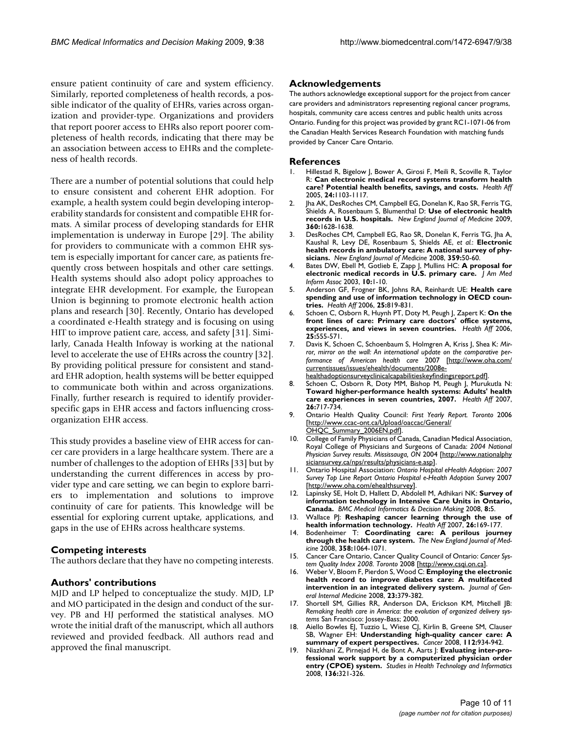ensure patient continuity of care and system efficiency. Similarly, reported completeness of health records, a possible indicator of the quality of EHRs, varies across organization and provider-type. Organizations and providers that report poorer access to EHRs also report poorer completeness of health records, indicating that there may be an association between access to EHRs and the completeness of health records.

There are a number of potential solutions that could help to ensure consistent and coherent EHR adoption. For example, a health system could begin developing interoperability standards for consistent and compatible EHR formats. A similar process of developing standards for EHR implementation is underway in Europe [29]. The ability for providers to communicate with a common EHR system is especially important for cancer care, as patients frequently cross between hospitals and other care settings. Health systems should also adopt policy approaches to integrate EHR development. For example, the European Union is beginning to promote electronic health action plans and research [30]. Recently, Ontario has developed a coordinated e-Health strategy and is focusing on using HIT to improve patient care, access, and safety [31]. Similarly, Canada Health Infoway is working at the national level to accelerate the use of EHRs across the country [32]. By providing political pressure for consistent and standard EHR adoption, health systems will be better equipped to communicate both within and across organizations. Finally, further research is required to identify providerspecific gaps in EHR access and factors influencing crossorganization EHR access.

This study provides a baseline view of EHR access for cancer care providers in a large healthcare system. There are a number of challenges to the adoption of EHRs [33] but by understanding the current differences in access by provider type and care setting, we can begin to explore barriers to implementation and solutions to improve continuity of care for patients. This knowledge will be essential for exploring current uptake, applications, and gaps in the use of EHRs across healthcare systems.

## **Competing interests**

The authors declare that they have no competing interests.

## **Authors' contributions**

MJD and LP helped to conceptualize the study. MJD, LP and MO participated in the design and conduct of the survey. PB and HJ performed the statistical analyses. MO wrote the initial draft of the manuscript, which all authors reviewed and provided feedback. All authors read and approved the final manuscript.

### **Acknowledgements**

The authors acknowledge exceptional support for the project from cancer care providers and administrators representing regional cancer programs, hospitals, community care access centres and public health units across Ontario. Funding for this project was provided by grant RC1-1071-06 from the Canadian Health Services Research Foundation with matching funds provided by Cancer Care Ontario.

#### **References**

- 1. Hillestad R, Bigelow J, Bower A, Girosi F, Meili R, Scoville R, Taylor R: **Can electronic medical record systems transform health care? Potential health benefits, savings, and costs.** *Health Aff* 2005, **24:**1103-1117.
- 2. Jha AK, DesRoches CM, Campbell EG, Donelan K, Rao SR, Ferris TG, Shields A, Rosenbaum S, Blumenthal D: **[Use of electronic health](http://www.ncbi.nlm.nih.gov/entrez/query.fcgi?cmd=Retrieve&db=PubMed&dopt=Abstract&list_uids=19321858) [records in U.S. hospitals.](http://www.ncbi.nlm.nih.gov/entrez/query.fcgi?cmd=Retrieve&db=PubMed&dopt=Abstract&list_uids=19321858)** *New England Journal of Medicine* 2009, **360:**1628-1638.
- 3. DesRoches CM, Campbell EG, Rao SR, Donelan K, Ferris TG, Jha A, Kaushal R, Levy DE, Rosenbaum S, Shields AE, *et al.*: **[Electronic](http://www.ncbi.nlm.nih.gov/entrez/query.fcgi?cmd=Retrieve&db=PubMed&dopt=Abstract&list_uids=18565855) [health records in ambulatory care: A national survey of phy](http://www.ncbi.nlm.nih.gov/entrez/query.fcgi?cmd=Retrieve&db=PubMed&dopt=Abstract&list_uids=18565855)[sicians.](http://www.ncbi.nlm.nih.gov/entrez/query.fcgi?cmd=Retrieve&db=PubMed&dopt=Abstract&list_uids=18565855)** *New England Journal of Medicine* 2008, **359:**50-60.
- 4. Bates DW, Ebell M, Gotlieb E, Zapp J, Mullins HC: **[A proposal for](http://www.ncbi.nlm.nih.gov/entrez/query.fcgi?cmd=Retrieve&db=PubMed&dopt=Abstract&list_uids=12509352) [electronic medical records in U.S. primary care.](http://www.ncbi.nlm.nih.gov/entrez/query.fcgi?cmd=Retrieve&db=PubMed&dopt=Abstract&list_uids=12509352)** *J Am Med Inform Assoc* 2003, **10:**1-10.
- 5. Anderson GF, Frogner BK, Johns RA, Reinhardt UE: **Health care spending and use of information technology in OECD countries.** *Health Aff* 2006, **25:**819-831.
- 6. Schoen C, Osborn R, Huynh PT, Doty M, Peugh J, Zapert K: **On the front lines of care: Primary care doctors' office systems, experiences, and views in seven countries.** *Health Aff* 2006, **25:**555-571.
- 7. Davis K, Schoen C, Schoenbaum S, Holmgren A, Kriss J, Shea K: *Mirror, mirror on the wall: An international update on the comparative performance of American health care* 2007 [[http://www.oha.com/](http://www.oha.com/currentissues/issues/ehealth/documents/2008e-healthadoptionsurveyclinicalcapabilitieskeyfindingsreport.pdf) [currentissues/issues/ehealth/documents/2008e-](http://www.oha.com/currentissues/issues/ehealth/documents/2008e-healthadoptionsurveyclinicalcapabilitieskeyfindingsreport.pdf)
- [healthadoptionsurveyclinicalcapabilitieskeyfindingsreport.pdf](http://www.oha.com/currentissues/issues/ehealth/documents/2008e-healthadoptionsurveyclinicalcapabilitieskeyfindingsreport.pdf)].
- 8. Schoen C, Osborn R, Doty MM, Bishop M, Peugh J, Murukutla N: **Toward higher-performance health systems: Adults' health care experiences in seven countries, 2007.** *Health Aff* 2007, **26:**717-734.
- 9. Ontario Health Quality Council: *First Yearly Report. Toronto* 2006 [[http://www.ccac-ont.ca/Upload/oaccac/General/](http://www.ccac-ont.ca/Upload/oaccac/General/OHQC_Summary_2006EN.pdf)
- [OHQC\\_Summary\\_2006EN.pdf\]](http://www.ccac-ont.ca/Upload/oaccac/General/OHQC_Summary_2006EN.pdf).
- 10. College of Family Physicians of Canada, Canadian Medical Association, Royal College of Physicians and Surgeons of Canada: *2004 National Physician Survey results. Mississauga, ON* 2004 [[http://www.nationalphy](http://www.nationalphysiciansurvey.ca/nps/results/physicians-e.asp) [siciansurvey.ca/nps/results/physicians-e.asp](http://www.nationalphysiciansurvey.ca/nps/results/physicians-e.asp)].
- 11. Ontario Hospital Association: *Ontario Hospital eHealth Adoption: 2007 Survey Top Line Report Ontario Hospital e-Health Adoption Survey* 2007 [[http://www.oha.com/ehealthsurvey\]](http://www.oha.com/ehealthsurvey).
- 12. Lapinsky SE, Holt D, Hallett D, Abdolell M, Adhikari NK: **Survey of information technology in Intensive Care Units in Ontario, Canada.** *BMC Medical Informatics & Decision Making* 2008, **8:**5.
- 13. Wallace PJ: **Reshaping cancer learning through the use of health information technology.** *Health Aff* 2007, **26:**169-177.
- 14. Bodenheimer T: **[Coordinating care: A perilous journey](http://www.ncbi.nlm.nih.gov/entrez/query.fcgi?cmd=Retrieve&db=PubMed&dopt=Abstract&list_uids=18322289) [through the health care system.](http://www.ncbi.nlm.nih.gov/entrez/query.fcgi?cmd=Retrieve&db=PubMed&dopt=Abstract&list_uids=18322289)** *The New England Journal of Medicine* 2008, **358:**1064-1071.
- 15. Cancer Care Ontario, Cancer Quality Council of Ontario: *Cancer System Quality Index 2008. Toronto* 2008 [<http://www.csqi.on.ca>].
- 16. Weber V, Bloom F, Pierdon S, Wood C: **[Employing the electronic](http://www.ncbi.nlm.nih.gov/entrez/query.fcgi?cmd=Retrieve&db=PubMed&dopt=Abstract&list_uids=18373133) [health record to improve diabetes care: A multifaceted](http://www.ncbi.nlm.nih.gov/entrez/query.fcgi?cmd=Retrieve&db=PubMed&dopt=Abstract&list_uids=18373133) [intervention in an integrated delivery system.](http://www.ncbi.nlm.nih.gov/entrez/query.fcgi?cmd=Retrieve&db=PubMed&dopt=Abstract&list_uids=18373133)** *Journal of General Internal Medicine* 2008, **23:**379-382.
- 17. Shortell SM, Gillies RR, Anderson DA, Erickson KM, Mitchell JB: *Remaking health care in America: the evolution of organized delivery systems* San Francisco: Jossey-Bass; 2000.
- 18. Aiello Bowles EJ, Tuzzio L, Wiese CJ, Kirlin B, Greene SM, Clauser SB, Wagner EH: **[Understanding high-quality cancer care: A](http://www.ncbi.nlm.nih.gov/entrez/query.fcgi?cmd=Retrieve&db=PubMed&dopt=Abstract&list_uids=18181099) [summary of expert perspectives.](http://www.ncbi.nlm.nih.gov/entrez/query.fcgi?cmd=Retrieve&db=PubMed&dopt=Abstract&list_uids=18181099)** *Cancer* 2008, **112:**934-942.
- Niazkhani Z, Pirnejad H, de Bont A, Aarts |: **Evaluating inter-professional work support by a computerized physician order entry (CPOE) system.** *Studies in Health Technology and Informatics* 2008, **136:**321-326.